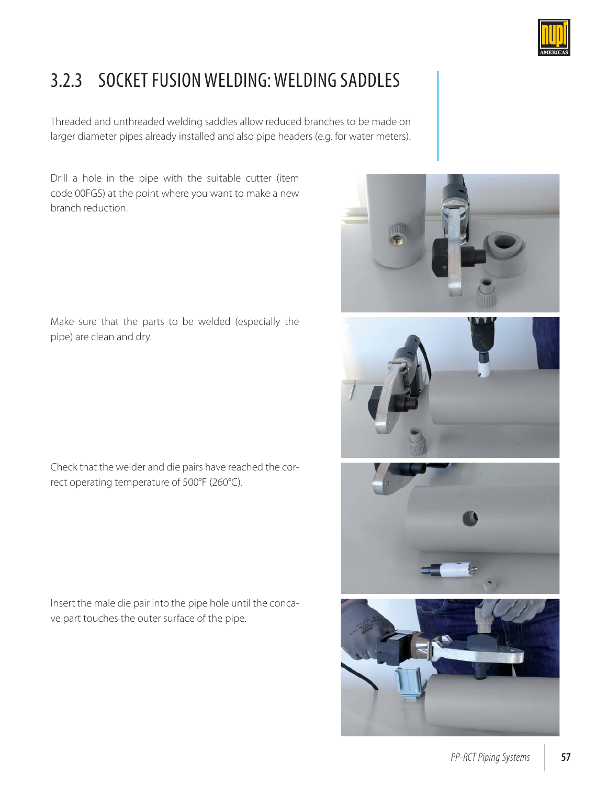

## 3.2.3 SOCKET FUSION WELDING: WELDING SADDLES

Threaded and unthreaded welding saddles allow reduced branches to be made on larger diameter pipes already installed and also pipe headers (e.g. for water meters).

Drill a hole in the pipe with the suitable cutter (item code 00FGS) at the point where you want to make a new branch reduction.

Make sure that the parts to be welded (especially the pipe) are clean and dry.

Check that the welder and die pairs have reached the correct operating temperature of 500°F (260°C).

Insert the male die pair into the pipe hole until the concave part touches the outer surface of the pipe.